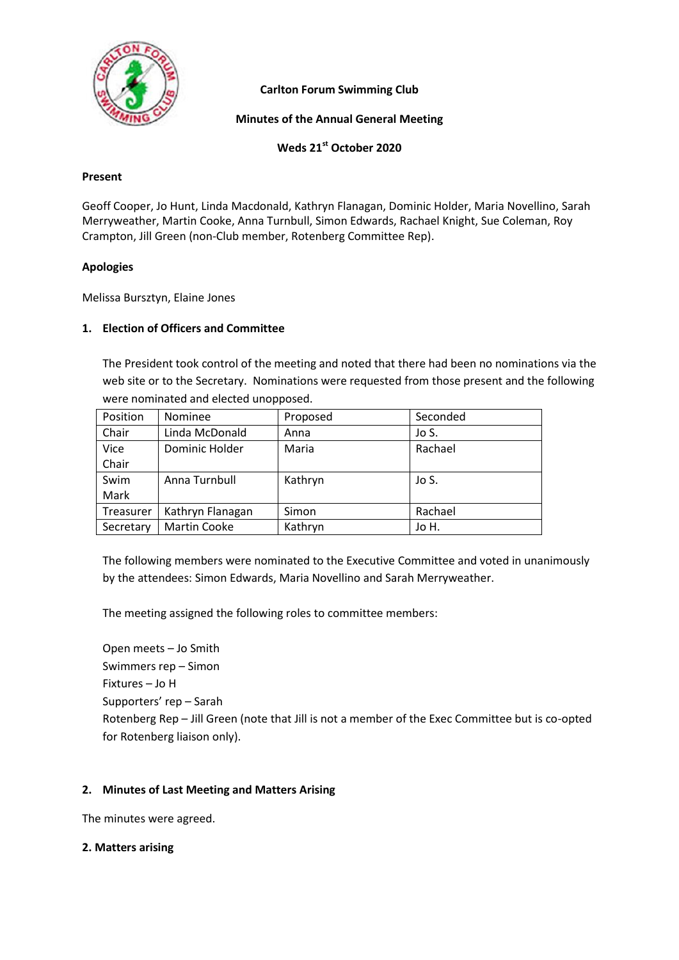

**Carlton Forum Swimming Club**

**Minutes of the Annual General Meeting**

**Weds 21st October 2020**

### **Present**

Geoff Cooper, Jo Hunt, Linda Macdonald, Kathryn Flanagan, Dominic Holder, Maria Novellino, Sarah Merryweather, Martin Cooke, Anna Turnbull, Simon Edwards, Rachael Knight, Sue Coleman, Roy Crampton, Jill Green (non-Club member, Rotenberg Committee Rep).

### **Apologies**

Melissa Bursztyn, Elaine Jones

### **1. Election of Officers and Committee**

The President took control of the meeting and noted that there had been no nominations via the web site or to the Secretary. Nominations were requested from those present and the following were nominated and elected unopposed.

| Position  | Nominee             | Proposed | Seconded |
|-----------|---------------------|----------|----------|
| Chair     | Linda McDonald      | Anna     | Jo S.    |
| Vice      | Dominic Holder      | Maria    | Rachael  |
| Chair     |                     |          |          |
| Swim      | Anna Turnbull       | Kathryn  | Jo S.    |
| Mark      |                     |          |          |
| Treasurer | Kathryn Flanagan    | Simon    | Rachael  |
| Secretary | <b>Martin Cooke</b> | Kathryn  | Jo H.    |

The following members were nominated to the Executive Committee and voted in unanimously by the attendees: Simon Edwards, Maria Novellino and Sarah Merryweather.

The meeting assigned the following roles to committee members:

Open meets – Jo Smith Swimmers rep – Simon Fixtures – Jo H Supporters' rep – Sarah Rotenberg Rep – Jill Green (note that Jill is not a member of the Exec Committee but is co-opted for Rotenberg liaison only).

### **2. Minutes of Last Meeting and Matters Arising**

The minutes were agreed.

### **2. Matters arising**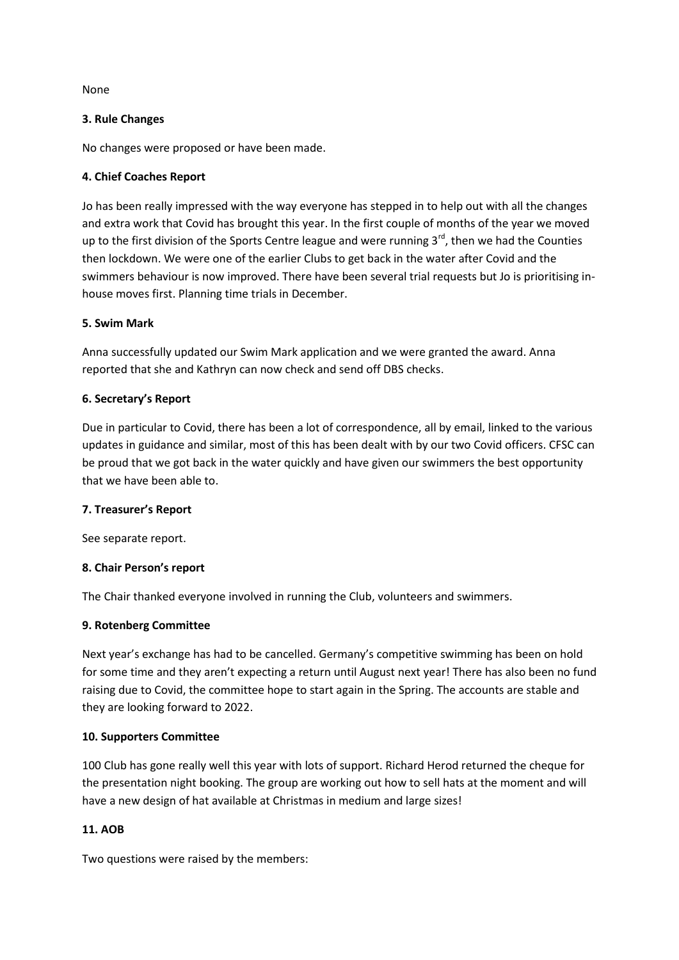None

### **3. Rule Changes**

No changes were proposed or have been made.

## **4. Chief Coaches Report**

Jo has been really impressed with the way everyone has stepped in to help out with all the changes and extra work that Covid has brought this year. In the first couple of months of the year we moved up to the first division of the Sports Centre league and were running  $3^{rd}$ , then we had the Counties then lockdown. We were one of the earlier Clubs to get back in the water after Covid and the swimmers behaviour is now improved. There have been several trial requests but Jo is prioritising inhouse moves first. Planning time trials in December.

### **5. Swim Mark**

Anna successfully updated our Swim Mark application and we were granted the award. Anna reported that she and Kathryn can now check and send off DBS checks.

### **6. Secretary's Report**

Due in particular to Covid, there has been a lot of correspondence, all by email, linked to the various updates in guidance and similar, most of this has been dealt with by our two Covid officers. CFSC can be proud that we got back in the water quickly and have given our swimmers the best opportunity that we have been able to.

### **7. Treasurer's Report**

See separate report.

### **8. Chair Person's report**

The Chair thanked everyone involved in running the Club, volunteers and swimmers.

### **9. Rotenberg Committee**

Next year's exchange has had to be cancelled. Germany's competitive swimming has been on hold for some time and they aren't expecting a return until August next year! There has also been no fund raising due to Covid, the committee hope to start again in the Spring. The accounts are stable and they are looking forward to 2022.

### **10. Supporters Committee**

100 Club has gone really well this year with lots of support. Richard Herod returned the cheque for the presentation night booking. The group are working out how to sell hats at the moment and will have a new design of hat available at Christmas in medium and large sizes!

# **11. AOB**

Two questions were raised by the members: